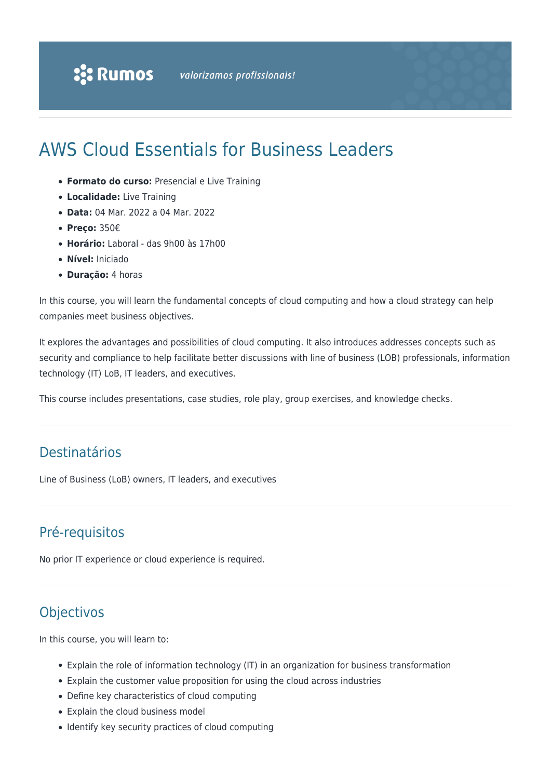# AWS Cloud Essentials for Business Leaders

- **Formato do curso:** Presencial e Live Training
- **Localidade:** Live Training
- **Data:** 04 Mar. 2022 a 04 Mar. 2022
- **Preço:** 350€
- **Horário:** Laboral das 9h00 às 17h00
- **Nível:** Iniciado
- **Duração:** 4 horas

In this course, you will learn the fundamental concepts of cloud computing and how a cloud strategy can help companies meet business objectives.

It explores the advantages and possibilities of cloud computing. It also introduces addresses concepts such as security and compliance to help facilitate better discussions with line of business (LOB) professionals, information technology (IT) LoB, IT leaders, and executives.

This course includes presentations, case studies, role play, group exercises, and knowledge checks.

### Destinatários

Line of Business (LoB) owners, IT leaders, and executives

## Pré-requisitos

No prior IT experience or cloud experience is required.

## **Objectivos**

In this course, you will learn to:

- Explain the role of information technology (IT) in an organization for business transformation
- Explain the customer value proposition for using the cloud across industries
- Define key characteristics of cloud computing
- Explain the cloud business model
- Identify key security practices of cloud computing